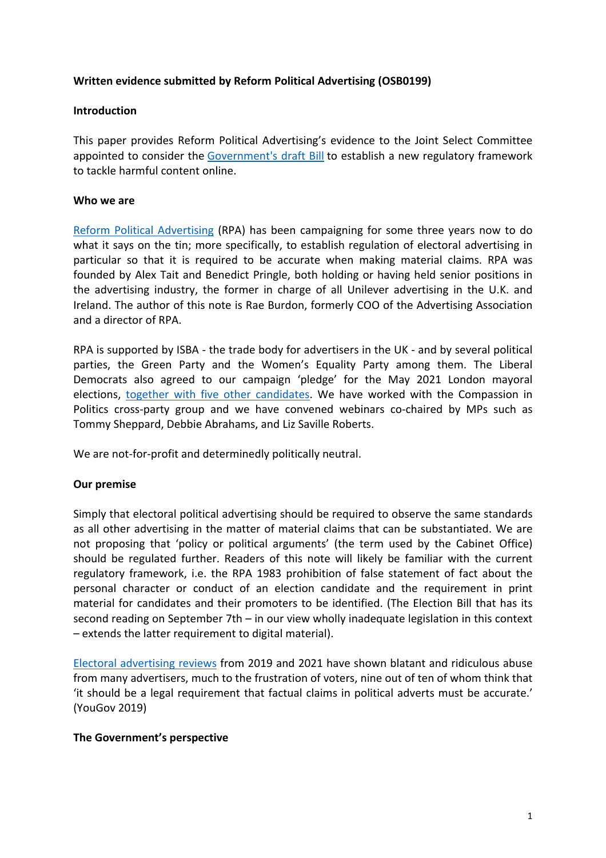## **Written evidence submitted by Reform Political Advertising (OSB0199)**

### **Introduction**

This paper provides Reform Political Advertising's evidence to the Joint Select Committee appointed to consider the [Government's](https://www.gov.uk/government/publications/draft-online-safety-bill) [draft](https://www.gov.uk/government/publications/draft-online-safety-bill) [Bill](https://www.gov.uk/government/publications/draft-online-safety-bill) to establish a new regulatory framework to tackle harmful content online.

### **Who we are**

[Reform](https://reformpoliticaladvertising.org/about/) [Political](https://reformpoliticaladvertising.org/about/) [Advertising](https://reformpoliticaladvertising.org/about/) (RPA) has been campaigning for some three years now to do what it says on the tin; more specifically, to establish regulation of electoral advertising in particular so that it is required to be accurate when making material claims. RPA was founded by Alex Tait and Benedict Pringle, both holding or having held senior positions in the advertising industry, the former in charge of all Unilever advertising in the U.K. and Ireland. The author of this note is Rae Burdon, formerly COO of the Advertising Association and a director of RPA.

RPA is supported by ISBA - the trade body for advertisers in the UK - and by several political parties, the Green Party and the Women's Equality Party among them. The Liberal Democrats also agreed to our campaign 'pledge' for the May 2021 London mayoral elections, [together](https://reformpoliticaladvertising.org/we-now-have-6-london-mayor-candidates-that-have-agreed-to-our-campaign-pledge-for-factual-accuracy-in-their-electoral-advertising/) [with](https://reformpoliticaladvertising.org/we-now-have-6-london-mayor-candidates-that-have-agreed-to-our-campaign-pledge-for-factual-accuracy-in-their-electoral-advertising/) [five](https://reformpoliticaladvertising.org/we-now-have-6-london-mayor-candidates-that-have-agreed-to-our-campaign-pledge-for-factual-accuracy-in-their-electoral-advertising/) [other](https://reformpoliticaladvertising.org/we-now-have-6-london-mayor-candidates-that-have-agreed-to-our-campaign-pledge-for-factual-accuracy-in-their-electoral-advertising/) [candidates](https://reformpoliticaladvertising.org/we-now-have-6-london-mayor-candidates-that-have-agreed-to-our-campaign-pledge-for-factual-accuracy-in-their-electoral-advertising/). We have worked with the Compassion in Politics cross-party group and we have convened webinars co-chaired by MPs such as Tommy Sheppard, Debbie Abrahams, and Liz Saville Roberts.

We are not-for-profit and determinedly politically neutral.

### **Our premise**

Simply that electoral political advertising should be required to observe the same standards as all other advertising in the matter of material claims that can be substantiated. We are not proposing that 'policy or political arguments' (the term used by the Cabinet Office) should be regulated further. Readers of this note will likely be familiar with the current regulatory framework, i.e. the RPA 1983 prohibition of false statement of fact about the personal character or conduct of an election candidate and the requirement in print material for candidates and their promoters to be identified. (The Election Bill that has its second reading on September 7th – in our view wholly inadequate legislation in this context – extends the latter requirement to digital material).

[Electoral](https://reformpoliticaladvertising.org/resources/) [advertising](https://reformpoliticaladvertising.org/resources/) [reviews](https://reformpoliticaladvertising.org/resources/) from 2019 and 2021 have shown blatant and ridiculous abuse from many advertisers, much to the frustration of voters, nine out of ten of whom think that 'it should be a legal requirement that factual claims in political adverts must be accurate.' (YouGov 2019)

### **The Government's perspective**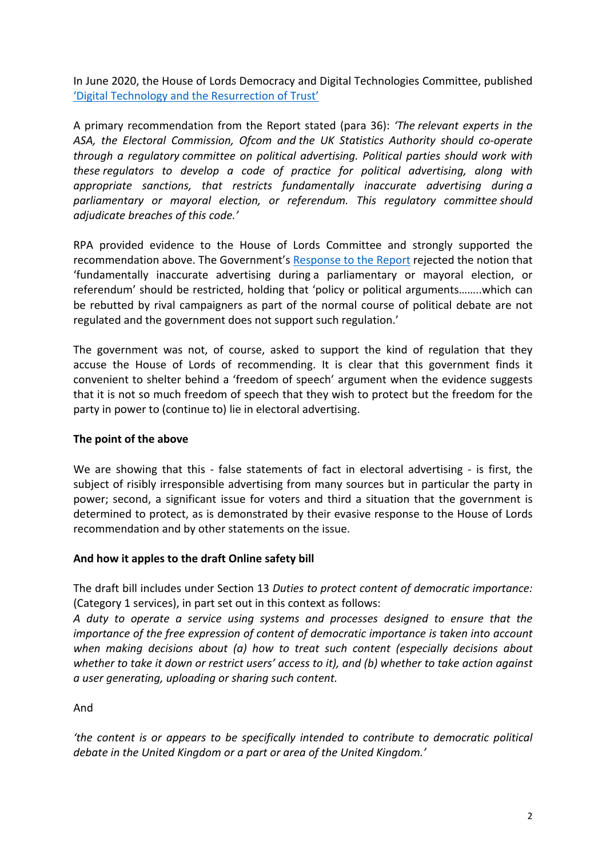In June 2020, the House of Lords Democracy and Digital Technologies Committee, published ['Digital](https://publications.parliament.uk/pa/ld5801/ldselect/lddemdigi/77/7706.htm#_idTextAnchor013) [Technology](https://publications.parliament.uk/pa/ld5801/ldselect/lddemdigi/77/7706.htm#_idTextAnchor013) [and](https://publications.parliament.uk/pa/ld5801/ldselect/lddemdigi/77/7706.htm#_idTextAnchor013) [the](https://publications.parliament.uk/pa/ld5801/ldselect/lddemdigi/77/7706.htm#_idTextAnchor013) [Resurrection](https://publications.parliament.uk/pa/ld5801/ldselect/lddemdigi/77/7706.htm#_idTextAnchor013) [of](https://publications.parliament.uk/pa/ld5801/ldselect/lddemdigi/77/7706.htm#_idTextAnchor013) [Trust'](https://publications.parliament.uk/pa/ld5801/ldselect/lddemdigi/77/7706.htm#_idTextAnchor013)

A primary recommendation from the Report stated (para 36): *'The relevant experts in the ASA, the Electoral Commission, Ofcom and the UK Statistics Authority should co-operate through a regulatory committee on political advertising. Political parties should work with these regulators to develop a code of practice for political advertising, along with appropriate sanctions, that restricts fundamentally inaccurate advertising during a parliamentary or mayoral election, or referendum. This regulatory committee should adjudicate breaches of this code.'*

RPA provided evidence to the House of Lords Committee and strongly supported the recommendation above. The Government's [Response](https://committees.parliament.uk/publications/2308/documents/22803/default/) [to](https://committees.parliament.uk/publications/2308/documents/22803/default/) [the](https://committees.parliament.uk/publications/2308/documents/22803/default/) [Report](https://committees.parliament.uk/publications/2308/documents/22803/default/) rejected the notion that 'fundamentally inaccurate advertising during a parliamentary or mayoral election, or referendum' should be restricted, holding that 'policy or political arguments……..which can be rebutted by rival campaigners as part of the normal course of political debate are not regulated and the government does not support such regulation.'

The government was not, of course, asked to support the kind of regulation that they accuse the House of Lords of recommending. It is clear that this government finds it convenient to shelter behind a 'freedom of speech' argument when the evidence suggests that it is not so much freedom of speech that they wish to protect but the freedom for the party in power to (continue to) lie in electoral advertising.

# **The point of the above**

We are showing that this - false statements of fact in electoral advertising - is first, the subject of risibly irresponsible advertising from many sources but in particular the party in power; second, a significant issue for voters and third a situation that the government is determined to protect, as is demonstrated by their evasive response to the House of Lords recommendation and by other statements on the issue.

# **And how it apples to the draft Online safety bill**

The draft bill includes under Section 13 *Duties to protect content of democratic importance:* (Category 1 services), in part set out in this context as follows:

*A duty to operate a service using systems and processes designed to ensure that the importance of the free expression of content of democratic importance is taken into account when making decisions about (a) how to treat such content (especially decisions about whether to take it down or restrict users' access to it), and (b) whether to take action against a user generating, uploading or sharing such content.*

And

*'the content is or appears to be specifically intended to contribute to democratic political debate in the United Kingdom or a part or area of the United Kingdom.'*